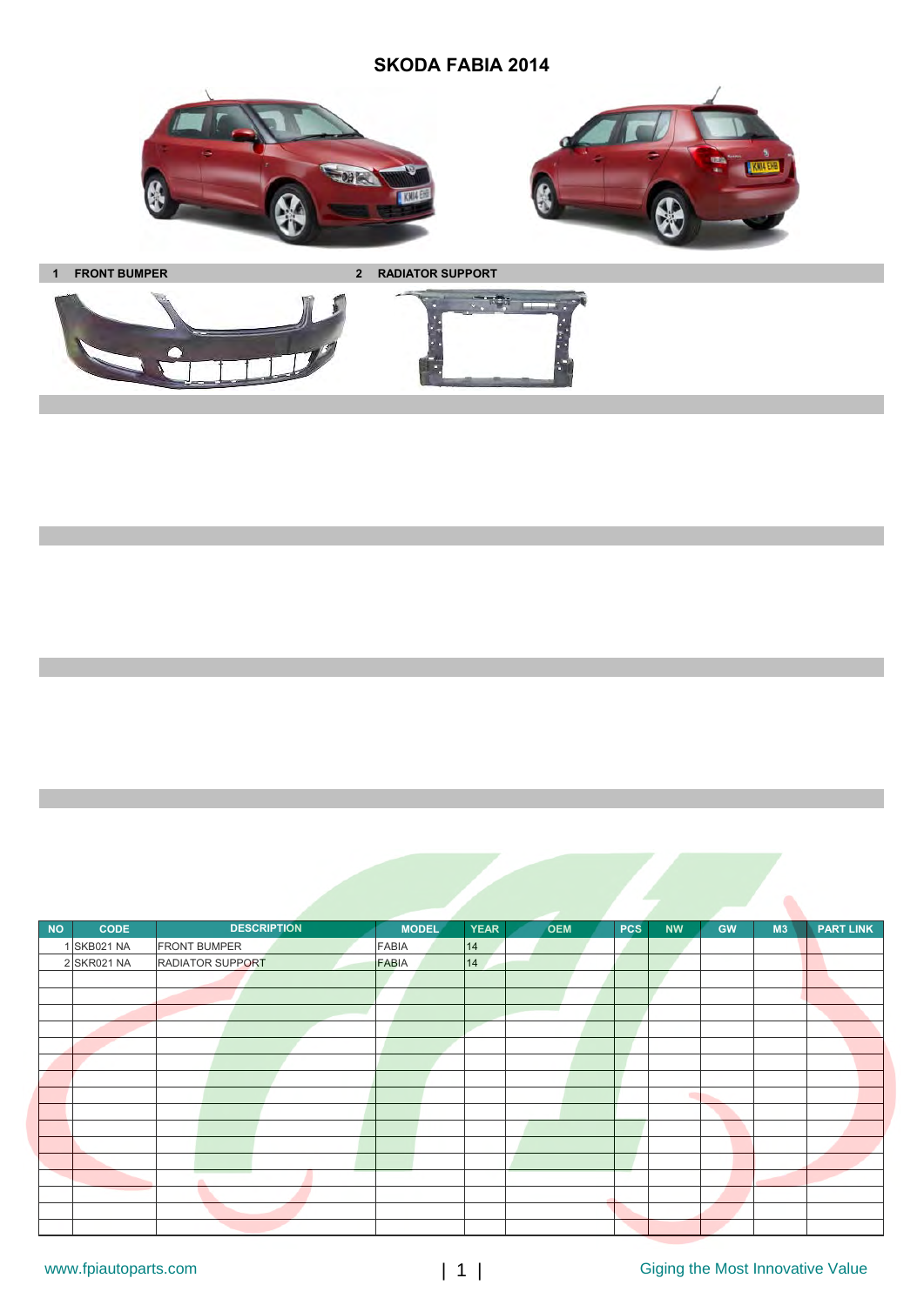## **SKODA FABIA 2014**





**1 FRONT BUMPER 2 RADIATOR SUPPORT**

 $\overline{125}$ 



| <b>NO</b> | <b>CODE</b> | <b>DESCRIPTION</b>      | <b>MODEL</b> | <b>YEAR</b> | <b>OEM</b> | <b>PCS</b> | <b>NW</b> | <b>GW</b> | M3 | <b>PART LINK</b> |
|-----------|-------------|-------------------------|--------------|-------------|------------|------------|-----------|-----------|----|------------------|
|           | 1 SKB021 NA | <b>FRONT BUMPER</b>     | <b>FABIA</b> | 14          |            |            |           |           |    |                  |
|           | 2 SKR021 NA | <b>RADIATOR SUPPORT</b> | FABIA        | 14          |            |            |           |           |    |                  |
|           |             |                         |              |             |            |            |           |           |    |                  |
|           |             |                         |              |             |            |            |           |           |    |                  |
|           |             |                         |              |             |            |            |           |           |    |                  |
|           |             |                         |              |             |            |            |           |           |    |                  |
|           |             |                         |              |             |            |            |           |           |    |                  |
|           |             |                         |              |             |            |            |           |           |    |                  |
|           |             |                         |              |             |            |            |           |           |    |                  |
|           |             |                         |              |             |            |            | ٠         |           |    |                  |
|           |             |                         |              |             |            |            |           |           |    |                  |
|           |             |                         |              |             |            |            |           |           |    |                  |
|           |             |                         |              |             |            |            |           |           |    |                  |
|           |             |                         |              |             |            |            |           |           |    |                  |
|           |             | a.                      |              |             |            |            |           |           |    |                  |
|           |             |                         |              |             |            |            |           |           |    |                  |
|           |             |                         |              |             |            |            |           |           |    |                  |
|           |             |                         |              |             |            |            |           |           |    |                  |

 $\hat{\phantom{a}}$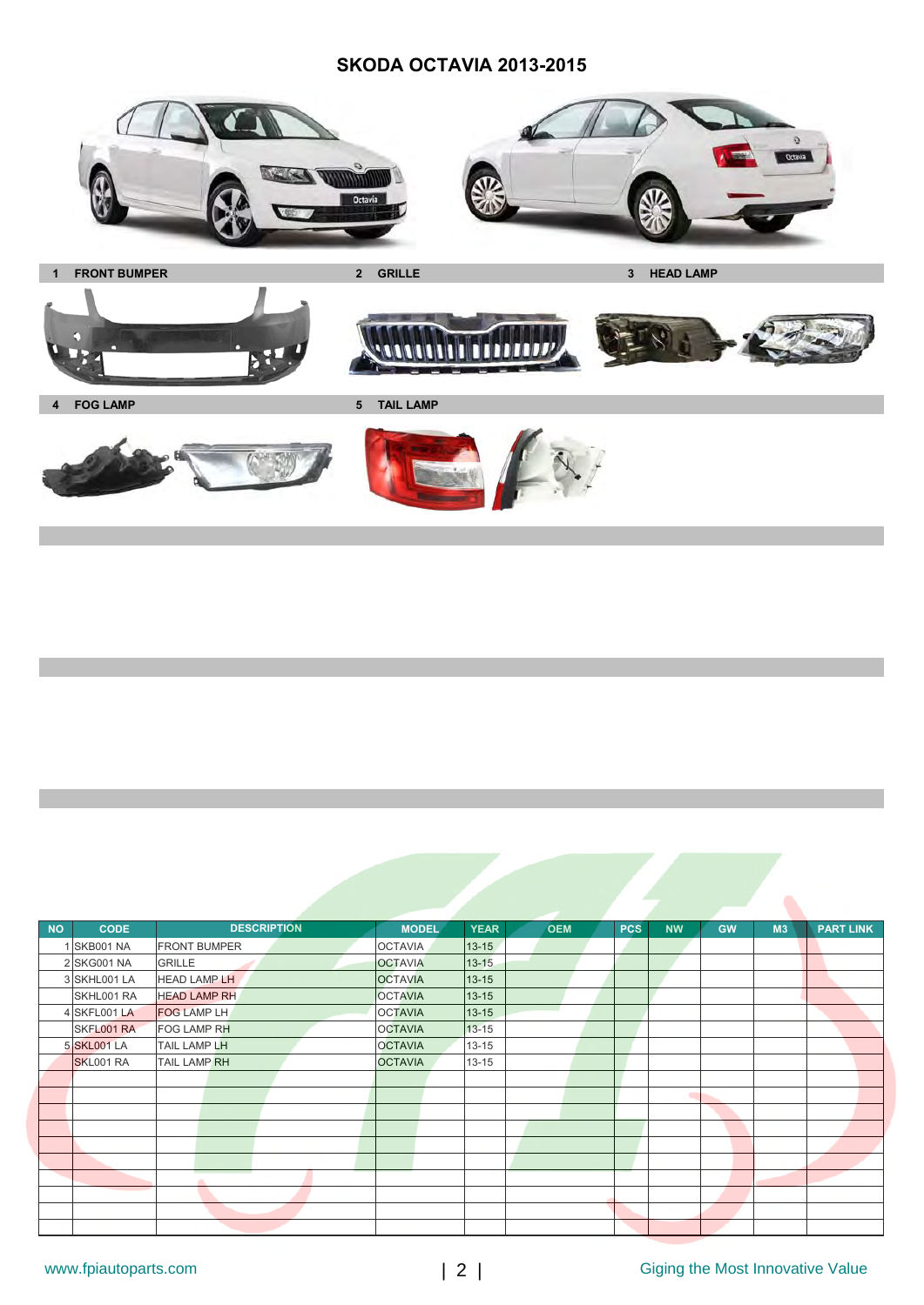

| <b>NO</b> | <b>CODE</b>        | <b>DESCRIPTION</b>  | <b>MODEL</b>   | <b>YEAR</b><br><b>OEM</b> | <b>PCS</b> | <b>NW</b> | <b>GW</b> | M <sub>3</sub> | <b>PART LINK</b> |
|-----------|--------------------|---------------------|----------------|---------------------------|------------|-----------|-----------|----------------|------------------|
|           | SKB001 NA          | <b>FRONT BUMPER</b> | <b>OCTAVIA</b> | $13 - 15$                 |            |           |           |                |                  |
|           | 2 SKG001 NA        | <b>GRILLE</b>       | <b>OCTAVIA</b> | $13 - 15$                 |            |           |           |                |                  |
|           | 3 SKHL001 LA       | <b>HEAD LAMP LH</b> | <b>OCTAVIA</b> | $13 - 15$                 |            |           |           |                |                  |
|           | SKHL001 RA         | <b>HEAD LAMP RH</b> | <b>OCTAVIA</b> | $13 - 15$                 |            |           |           |                |                  |
|           | 4 SKFL001 LA       | <b>FOG LAMP LH</b>  | <b>OCTAVIA</b> | $13 - 15$                 |            |           |           |                |                  |
|           | SKFL001 RA         | FOG LAMP RH         | <b>OCTAVIA</b> | $13 - 15$                 |            |           |           |                |                  |
|           | <b>5 SKL001 LA</b> | TAIL LAMP LH        | <b>OCTAVIA</b> | $13 - 15$                 |            |           |           |                |                  |
|           | SKL001 RA          | <b>TAIL LAMP RH</b> | <b>OCTAVIA</b> | $13 - 15$                 |            |           |           |                |                  |
|           |                    |                     |                |                           |            |           |           |                |                  |
|           |                    |                     |                |                           |            | ۰         |           |                |                  |
|           |                    |                     |                |                           |            |           |           |                |                  |
|           |                    |                     |                |                           |            |           |           |                |                  |
|           |                    |                     |                |                           |            |           |           |                |                  |
|           |                    |                     |                |                           |            |           |           |                |                  |
|           |                    |                     |                |                           |            |           |           |                |                  |
|           |                    |                     |                |                           |            |           |           |                |                  |
|           |                    |                     |                |                           |            |           |           |                |                  |
|           |                    |                     |                |                           |            |           |           |                |                  |

Ò,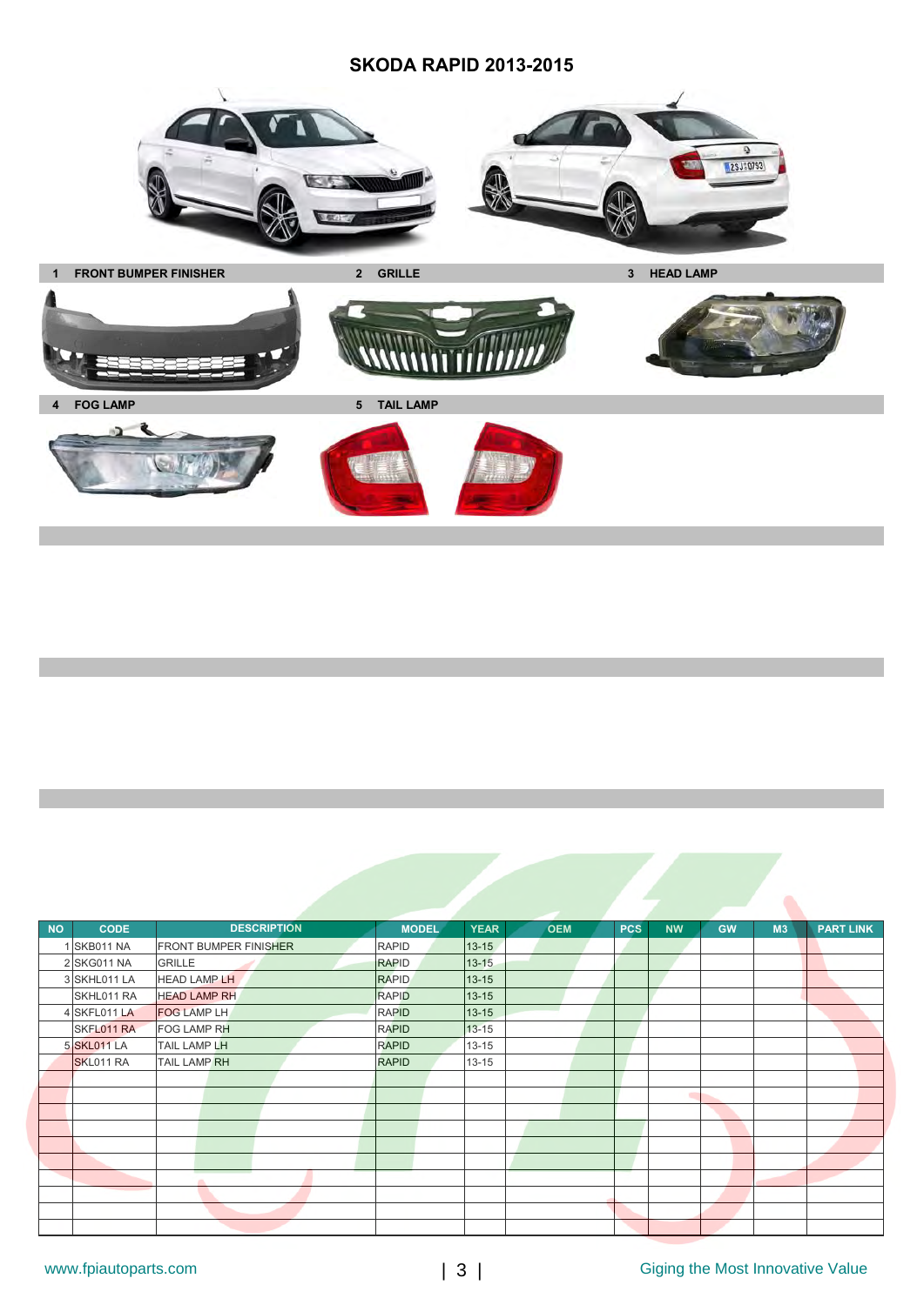

| <b>NO</b> | <b>CODE</b>        | <b>DESCRIPTION</b>           | <b>MODEL</b> | <b>YEAR</b> | <b>OEM</b> | <b>PCS</b> | <b>NW</b> | <b>GW</b> | M <sub>3</sub> | <b>PART LINK</b> |
|-----------|--------------------|------------------------------|--------------|-------------|------------|------------|-----------|-----------|----------------|------------------|
|           | 1 SKB011 NA        | <b>FRONT BUMPER FINISHER</b> | <b>RAPID</b> | $13 - 15$   |            |            |           |           |                |                  |
|           | 2 SKG011 NA        | <b>GRILLE</b>                | <b>RAPID</b> | $13 - 15$   |            |            |           |           |                |                  |
|           | 3 SKHL011 LA       | <b>HEAD LAMP LH</b>          | <b>RAPID</b> | 13-15       |            |            |           |           |                |                  |
|           | SKHL011 RA         | <b>HEAD LAMP RH</b>          | <b>RAPID</b> | $13 - 15$   |            |            |           |           |                |                  |
|           | 4 SKFL011 LA       | <b>FOG LAMP LH</b>           | <b>RAPID</b> | 13-15       |            |            |           |           |                |                  |
|           | SKFL011 RA         | <b>FOG LAMP RH</b>           | <b>RAPID</b> | $13 - 15$   |            |            |           |           |                |                  |
|           | <b>5 SKL011 LA</b> | <b>TAIL LAMP LH</b>          | <b>RAPID</b> | $13 - 15$   |            |            |           |           |                |                  |
|           | SKL011 RA          | <b>TAIL LAMP RH</b>          | <b>RAPID</b> | $13 - 15$   |            |            |           |           |                |                  |
|           |                    |                              |              |             |            |            |           |           |                |                  |
|           |                    |                              |              |             |            |            | ٠         |           |                |                  |
|           |                    |                              |              |             |            |            |           |           |                |                  |
|           |                    |                              |              |             |            |            |           |           |                |                  |
|           |                    |                              |              |             |            |            |           |           |                |                  |
|           |                    |                              |              |             |            |            |           |           |                |                  |
|           |                    |                              |              |             |            |            |           |           |                |                  |
|           |                    |                              |              |             |            |            |           |           |                |                  |
|           |                    |                              |              |             |            |            |           |           |                |                  |
|           |                    |                              |              |             |            |            |           |           |                |                  |